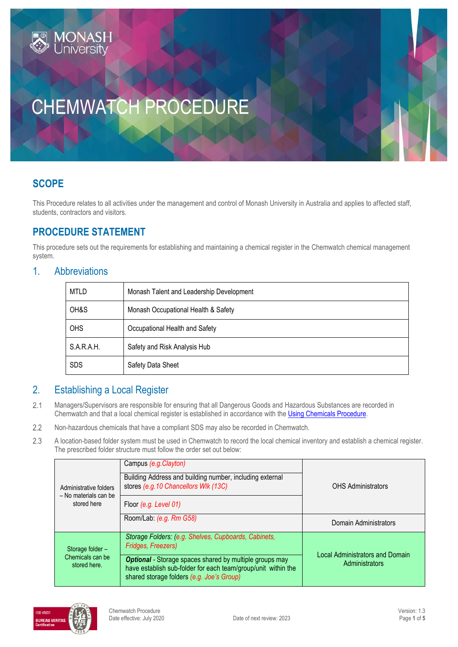# **SCOPE**

This Procedure relates to all activities under the management and control of Monash University in Australia and applies to affected staff, students, contractors and visitors.

## **PROCEDURE STATEMENT**

**IONAS** 

This procedure sets out the requirements for establishing and maintaining a chemical register in the Chemwatch chemical management system.

#### 1. Abbreviations

| <b>MTLD</b> | Monash Talent and Leadership Development |  |
|-------------|------------------------------------------|--|
| OH&S        | Monash Occupational Health & Safety      |  |
| <b>OHS</b>  | Occupational Health and Safety           |  |
| S.A.R.A.H.  | Safety and Risk Analysis Hub             |  |
| <b>SDS</b>  | Safety Data Sheet                        |  |

### 2. Establishing a Local Register

- $2.1$ Managers/Supervisors are responsible for ensuring that all Dangerous Goods and Hazardous Substances are recorded in Chemwatch and that a local chemical register is established in accordance with the [Using Chemicals Procedure.](https://publicpolicydms.monash.edu/Monash/documents/1935640)
- $2.2$ Non-hazardous chemicals that have a compliant SDS may also be recorded in Chemwatch.
- 2.3 A location-based folder system must be used in Chemwatch to record the local chemical inventory and establish a chemical register. The prescribed folder structure must follow the order set out below:

| Administrative folders<br>- No materials can be<br>stored here | Campus (e.g. Clayton)                                                                                                                                                        |                                        |
|----------------------------------------------------------------|------------------------------------------------------------------------------------------------------------------------------------------------------------------------------|----------------------------------------|
|                                                                | Building Address and building number, including external<br>stores (e.g. 10 Chancellors Wlk (13C)                                                                            | <b>OHS Administrators</b>              |
|                                                                | Floor (e.g. Level 01)                                                                                                                                                        |                                        |
|                                                                | Room/Lab: (e.g. Rm G58)                                                                                                                                                      | Domain Administrators                  |
| Storage folder-<br>Chemicals can be<br>stored here.            | Storage Folders: (e.g. Shelves, Cupboards, Cabinets,<br>Fridges, Freezers)                                                                                                   | <b>Local Administrators and Domain</b> |
|                                                                | <b>Optional</b> - Storage spaces shared by multiple groups may<br>have establish sub-folder for each team/group/unit within the<br>shared storage folders (e.g. Joe's Group) | Administrators                         |

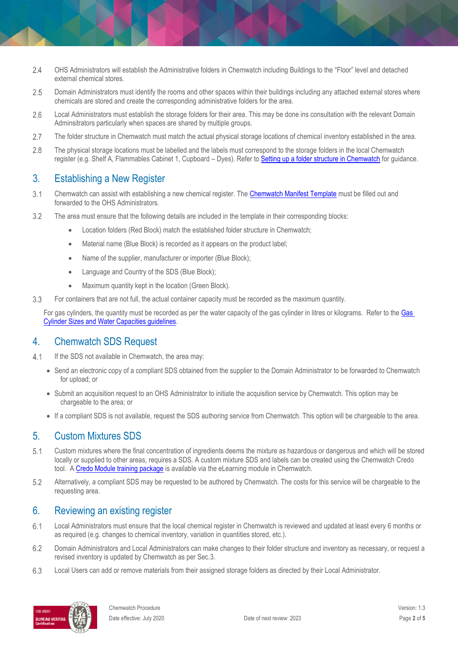- $2.4$ OHS Administrators will establish the Administrative folders in Chemwatch including Buildings to the "Floor" level and detached external chemical stores.
- 2.5 Domain Administrators must identify the rooms and other spaces within their buildings including any attached external stores where chemicals are stored and create the corresponding administrative folders for the area.
- 2.6 Local Administrators must establish the storage folders for their area. This may be done ins consultation with the relevant Domain Adminsitrators particularly when spaces are shared by multiple groups.
- 2.7 The folder structure in Chemwatch must match the actual physical storage locations of chemical inventory established in the area.
- $2.8$ The physical storage locations must be labelled and the labels must correspond to the storage folders in the local Chemwatch register (e.g. Shelf A, Flammables Cabinet 1, Cupboard – Dyes). Refer t[o Setting up a folder structure in Chemwatch](https://www.monash.edu/__data/assets/pdf_file/0008/2562740/Setting-up-folder-structure-in-Chemwatch.pdf) for guidance.

### 3. Establishing a New Register

- $3.1$ Chemwatch can assist with establishing a new chemical register. The [Chemwatch Manifest Template](https://www.monash.edu/__data/assets/excel_doc/0018/371520/Chemwatch-manifest-template.xlsx) must be filled out and forwarded to the OHS Administrators.
- 3.2 The area must ensure that the following details are included in the template in their corresponding blocks:
	- **•** Location folders (Red Block) match the established folder structure in Chemwatch;
	- Material name (Blue Block) is recorded as it appears on the product label;
	- Name of the supplier, manufacturer or importer (Blue Block);
	- Language and Country of the SDS (Blue Block);
	- Maximum quantity kept in the location (Green Block).
- 3.3 For containers that are not full, the actual container capacity must be recorded as the maximum quantity.

For gas cylinders, the quantity must be recorded as per the water capacity of the gas cylinder in litres or kilograms. Refer to th[e Gas](https://www.monash.edu/__data/assets/pdf_file/0017/2205503/gas-cylinder-water-capacity-guide.pdf)  [Cylinder Sizes and Water Capacities guidelines.](https://www.monash.edu/__data/assets/pdf_file/0017/2205503/gas-cylinder-water-capacity-guide.pdf)

#### 4. Chemwatch SDS Request

- $4.1$ If the SDS not available in Chemwatch, the area may:
	- Send an electronic copy of a compliant SDS obtained from the supplier to the Domain Administrator to be forwarded to Chemwatch for upload; or
	- Submit an acquisition request to an OHS Administrator to initiate the acquisition service by Chemwatch. This option may be chargeable to the area; or
	- If a compliant SDS is not available, request the SDS authoring service from Chemwatch. This option will be chargeable to the area.

### 5. Custom Mixtures SDS

- $5.1$ Custom mixtures where the final concentration of ingredients deems the mixture as hazardous or dangerous and which will be stored locally or supplied to other areas, requires a SDS. A custom mixture SDS and labels can be created using the Chemwatch Credo tool. [A Credo Module training package](https://ap.chemwatch.net/b234jhjh34iop/story_html5.html?lms=1) is available via the eLearning module in Chemwatch.
- 5.2 Alternatively, a compliant SDS may be requested to be authored by Chemwatch. The costs for this service will be chargeable to the requesting area.

### 6. Reviewing an existing register

- $6.1$ Local Administrators must ensure that the local chemical register in Chemwatch is reviewed and updated at least every 6 months or as required (e.g. changes to chemical inventory, variation in quantities stored, etc.).
- 6.2 Domain Administrators and Local Administrators can make changes to their folder structure and inventory as necessary, or request a revised inventory is updated by Chemwatch as per Sec.3.
- 6.3 Local Users can add or remove materials from their assigned storage folders as directed by their Local Administrator.

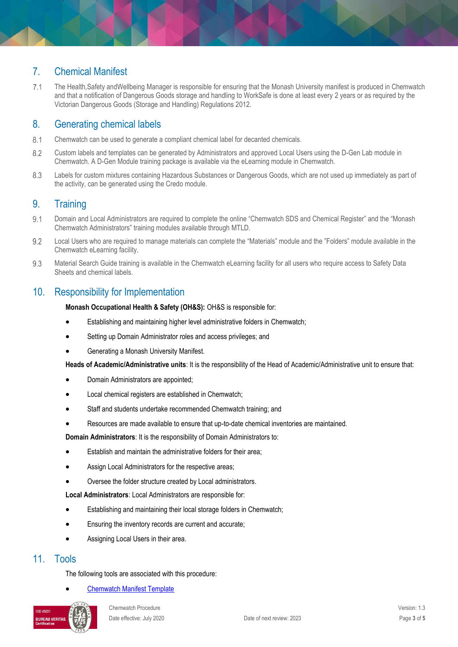### 7. Chemical Manifest

 $7.1$ The Health,Safety andWellbeing Manager is responsible for ensuring that the Monash University manifest is produced in Chemwatch and that a notification of Dangerous Goods storage and handling to WorkSafe is done at least every 2 years or as required by the Victorian Dangerous Goods (Storage and Handling) Regulations 2012.

## 8. Generating chemical labels

- $8.1$ Chemwatch can be used to generate a compliant chemical label for decanted chemicals.
- 8.2 Custom labels and templates can be generated by Administrators and approved Local Users using the D-Gen Lab module in Chemwatch. A D-Gen Module training package is available via the eLearning module in Chemwatch.
- 8.3 Labels for custom mixtures containing Hazardous Substances or Dangerous Goods, which are not used up immediately as part of the activity, can be generated using the Credo module.

### 9. Training

- $9.1$ Domain and Local Administrators are required to complete the online "Chemwatch SDS and Chemical Register" and the "Monash Chemwatch Administrators" training modules available through MTLD.
- $9.2$ Local Users who are required to manage materials can complete the "Materials" module and the "Folders" module available in the Chemwatch eLearning facility.
- 9.3 Material Search Guide training is available in the Chemwatch eLearning facility for all users who require access to Safety Data Sheets and chemical labels.

### 10. Responsibility for Implementation

**Monash Occupational Health & Safety (OH&S):** OH&S is responsible for:

- Establishing and maintaining higher level administrative folders in Chemwatch;
- Setting up Domain Administrator roles and access privileges; and
- Generating a Monash University Manifest.

**Heads of Academic/Administrative units**: It is the responsibility of the Head of Academic/Administrative unit to ensure that:

- Domain Administrators are appointed;
- Local chemical registers are established in Chemwatch;
- Staff and students undertake recommended Chemwatch training; and
- Resources are made available to ensure that up-to-date chemical inventories are maintained.

**Domain Administrators**: It is the responsibility of Domain Administrators to:

- Establish and maintain the administrative folders for their area;
- Assign Local Administrators for the respective areas;
- Oversee the folder structure created by Local administrators.

**Local Administrators**: Local Administrators are responsible for:

- Establishing and maintaining their local storage folders in Chemwatch;
- Ensuring the inventory records are current and accurate;
- Assigning Local Users in their area.

#### 11. Tools

The following tools are associated with this procedure:

[Chemwatch Manifest Template](https://www.monash.edu/__data/assets/excel_doc/0018/371520/Chemwatch-manifest-template.xlsx)

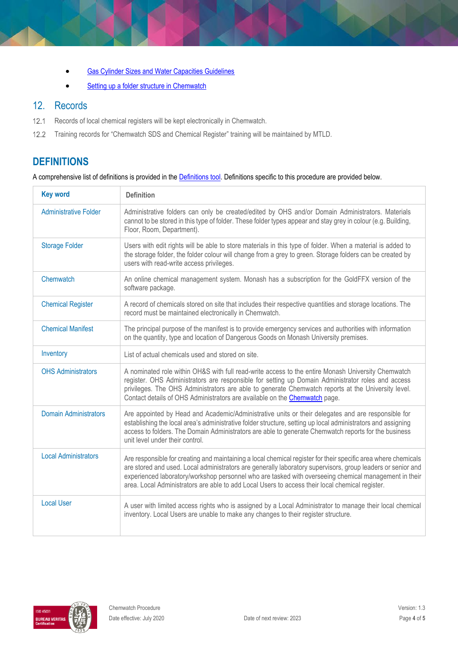- [Gas Cylinder Sizes and Water Capacities Guidelines](https://www.monash.edu/__data/assets/pdf_file/0017/2205503/gas-cylinder-water-capacity-guide.pdf)
- [Setting up a folder structure in Chemwatch](https://www.monash.edu/__data/assets/pdf_file/0008/2562740/Setting-up-folder-structure-in-Chemwatch.pdf)

### 12. Records

- $12.1$ Records of local chemical registers will be kept electronically in Chemwatch.
- $12.2$ Training records for "Chemwatch SDS and Chemical Register" training will be maintained by MTLD.

# **DEFINITIONS**

A comprehensive list of definitions is provided in the **Definitions tool**. Definitions specific to this procedure are provided below.

| <b>Key word</b>              | <b>Definition</b>                                                                                                                                                                                                                                                                                                                                                                                                                         |  |
|------------------------------|-------------------------------------------------------------------------------------------------------------------------------------------------------------------------------------------------------------------------------------------------------------------------------------------------------------------------------------------------------------------------------------------------------------------------------------------|--|
| <b>Administrative Folder</b> | Administrative folders can only be created/edited by OHS and/or Domain Administrators. Materials<br>cannot to be stored in this type of folder. These folder types appear and stay grey in colour (e.g. Building,<br>Floor, Room, Department).                                                                                                                                                                                            |  |
| <b>Storage Folder</b>        | Users with edit rights will be able to store materials in this type of folder. When a material is added to<br>the storage folder, the folder colour will change from a grey to green. Storage folders can be created by<br>users with read-write access privileges.                                                                                                                                                                       |  |
| Chemwatch                    | An online chemical management system. Monash has a subscription for the GoldFFX version of the<br>software package.                                                                                                                                                                                                                                                                                                                       |  |
| <b>Chemical Register</b>     | A record of chemicals stored on site that includes their respective quantities and storage locations. The<br>record must be maintained electronically in Chemwatch.                                                                                                                                                                                                                                                                       |  |
| <b>Chemical Manifest</b>     | The principal purpose of the manifest is to provide emergency services and authorities with information<br>on the quantity, type and location of Dangerous Goods on Monash University premises.                                                                                                                                                                                                                                           |  |
| Inventory                    | List of actual chemicals used and stored on site.                                                                                                                                                                                                                                                                                                                                                                                         |  |
| <b>OHS Administrators</b>    | A nominated role within OH&S with full read-write access to the entire Monash University Chemwatch<br>register. OHS Administrators are responsible for setting up Domain Administrator roles and access<br>privileges. The OHS Administrators are able to generate Chemwatch reports at the University level.<br>Contact details of OHS Administrators are available on the Chemwatch page.                                               |  |
| <b>Domain Administrators</b> | Are appointed by Head and Academic/Administrative units or their delegates and are responsible for<br>establishing the local area's administrative folder structure, setting up local administrators and assigning<br>access to folders. The Domain Administrators are able to generate Chemwatch reports for the business<br>unit level under their control.                                                                             |  |
| <b>Local Administrators</b>  | Are responsible for creating and maintaining a local chemical register for their specific area where chemicals<br>are stored and used. Local administrators are generally laboratory supervisors, group leaders or senior and<br>experienced laboratory/workshop personnel who are tasked with overseeing chemical management in their<br>area. Local Administrators are able to add Local Users to access their local chemical register. |  |
| <b>Local User</b>            | A user with limited access rights who is assigned by a Local Administrator to manage their local chemical<br>inventory. Local Users are unable to make any changes to their register structure.                                                                                                                                                                                                                                           |  |